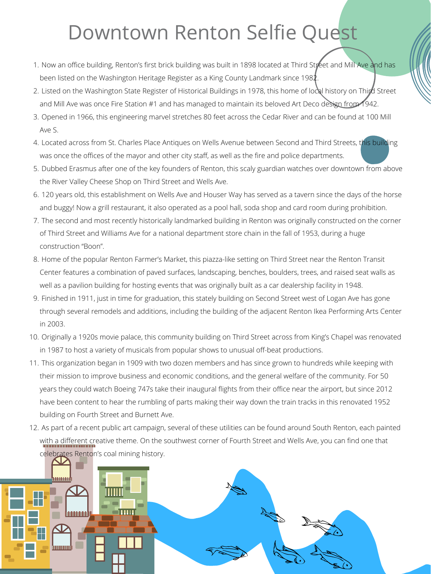- 1. Now an office building, Renton's first brick building was built in 1898 located at Third Street and Mill Ave and has been listed on the Washington Heritage Register as a King County Landmark since 1982.
- 2. Listed on the Washington State Register of Historical Buildings in 1978, this home of local history on Third Street and Mill Ave was once Fire Station #1 and has managed to maintain its beloved Art Deco design from 1942.
- 3. Opened in 1966, this engineering marvel stretches 80 feet across the Cedar River and can be found at 100 Mill Ave S.
- 4. Located across from St. Charles Place Antiques on Wells Avenue between Second and Third Streets, this building was once the offices of the mayor and other city staff, as well as the fire and police departments.
- 5. Dubbed Erasmus after one of the key founders of Renton, this scaly guardian watches over downtown from above the River Valley Cheese Shop on Third Street and Wells Ave.
- 120 years old, this establishment on Wells Ave and Houser Way has served as a tavern since the days of the horse 6. and buggy! Now a grill restaurant, it also operated as a pool hall, soda shop and card room during prohibition.
- The second and most recently historically landmarked building in Renton was originally constructed on the corner 7. of Third Street and Williams Ave for a national department store chain in the fall of 1953, during a huge construction "Boon".
- 8. Home of the popular Renton Farmer's Market, this piazza-like setting on Third Street near the Renton Transit Center features a combination of paved surfaces, landscaping, benches, boulders, trees, and raised seat walls as well as a pavilion building for hosting events that was originally built as a car dealership facility in 1948.
- Finished in 1911, just in time for graduation, this stately building on Second Street west of Logan Ave has gone 9. through several remodels and additions, including the building of the adjacent Renton Ikea Performing Arts Center in 2003.
- 10. Originally a 1920s movie palace, this community building on Third Street across from King's Chapel was renovated in 1987 to host a variety of musicals from popular shows to unusual off-beat productions.
- 11. This organization began in 1909 with two dozen members and has since grown to hundreds while keeping with their mission to improve business and economic conditions, and the general welfare of the community. For 50 years they could watch Boeing 747s take their inaugural flights from their office near the airport, but since 2012 have been content to hear the rumbling of parts making their way down the train tracks in this renovated 1952 building on Fourth Street and Burnett Ave.
- 12. As part of a recent public art campaign, several of these utilities can be found around South Renton, each painted with a different creative theme. On the southwest corner of Fourth Street and Wells Ave, you can find one that celebrates Renton's coal mining history.



## Downtown Renton Selfie Quest